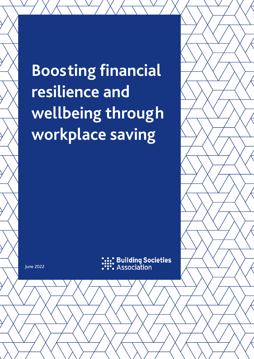**Boosting financial resilience and wellbeing through workplace saving**



June 2022

**Building Societies** Association

www.bsa.org.uk bsabuildingsocs 1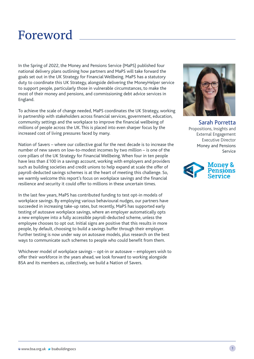## Foreword

In the Spring of 2022, the Money and Pensions Service (MaPS) published four national delivery plans outlining how partners and MaPS will take forward the goals set out in the UK Strategy for Financial Wellbeing. MaPS has a statutory duty to coordinate this UK Strategy, alongside delivering the MoneyHelper service to support people, particularly those in vulnerable circumstances, to make the most of their money and pensions, and commissioning debt advice services in England.

To achieve the scale of change needed, MaPS coordinates the UK Strategy, working in partnership with stakeholders across financial services, government, education, community settings and the workplace to improve the financial wellbeing of millions of people across the UK. This is placed into even sharper focus by the increased cost of living pressures faced by many.

Nation of Savers – where our collective goal for the next decade is to increase the number of new savers on low-to-modest incomes by two million – is one of the core pillars of the UK Strategy for Financial Wellbeing. When four in ten people have less than £100 in a savings account, working with employers and providers such as building societies and credit unions to help expand at scale the offer of payroll-deducted savings schemes is at the heart of meeting this challenge. So, we warmly welcome this report's focus on workplace savings and the financial resilience and security it could offer to millions in these uncertain times.

In the last few years, MaPS has contributed funding to test opt-in models of workplace savings. By employing various behavioural nudges, our partners have succeeded in increasing take-up rates, but recently, MaPS has supported early testing of autosave workplace savings, where an employer automatically opts a new employee into a fully accessible payroll-deducted scheme, unless the employee chooses to opt out. Initial signs are positive that this results in more people, by default, choosing to build a savings buffer through their employer. Further testing is now under way on autosave models, plus research on the best ways to communicate such schemes to people who could benefit from them.

Whichever model of workplace savings – opt-in or autosave – employers wish to offer their workforce in the years ahead, we look forward to working alongside BSA and its members as, collectively, we build a Nation of Savers.



Sarah Porretta Propositions, Insights and External Engagement Executive Director Money and Pensions Service

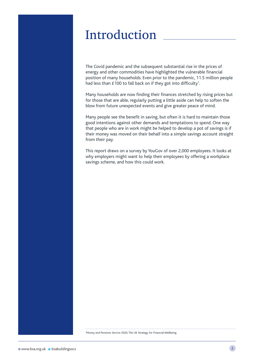## Introduction

The Covid pandemic and the subsequent substantial rise in the prices of energy and other commodities have highlighted the vulnerable financial position of many households. Even prior to the pandemic, 11.5 million people had less than  $£100$  to fall back on if they got into difficulty<sup>1</sup>.

Many households are now finding their finances stretched by rising prices but for those that are able, regularly putting a little aside can help to soften the blow from future unexpected events and give greater peace of mind.

Many people see the benefit in saving, but often it is hard to maintain those good intentions against other demands and temptations to spend. One way that people who are in work might be helped to develop a pot of savings is if their money was moved on their behalf into a simple savings account straight from their pay.

This report draws on a survey by YouGov of over 2,000 employees. It looks at why employers might want to help their employees by offering a workplace savings scheme, and how this could work.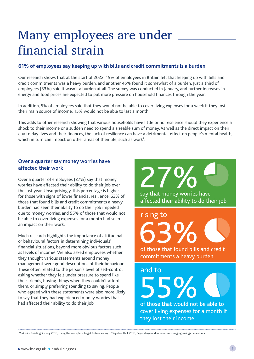## Many employees are under financial strain

#### **61% of employees say keeping up with bills and credit commitments is a burden**

Our research shows that at the start of 2022, 15% of employees in Britain felt that keeping up with bills and credit commitments was a heavy burden, and another 45% found it somewhat of a burden. Just a third of employees (33%) said it wasn't a burden at all. The survey was conducted in January, and further increases in energy and food prices are expected to put more pressure on household finances through the year.

In addition, 5% of employees said that they would not be able to cover living expenses for a week if they lost their main source of income, 15% would not be able to last a month.

This adds to other research showing that various households have little or no resilience should they experience a shock to their income or a sudden need to spend a sizeable sum of money. As well as the direct impact on their day to day lives and their finances, the lack of resilience can have a detrimental effect on people's mental health, which in turn can impact on other areas of their life, such as work $^{\text{2}}$ .

#### **Over a quarter say money worries have affected their work**

Over a quarter of employees (27%) say that money worries have affected their ability to do their job over the last year. Unsurprisingly, this percentage is higher for those with signs of lower financial resilience: 63% of those that found bills and credit commitments a heavy burden had seen their ability to do their job impeded due to money worries, and 55% of those that would not be able to cover living expenses for a month had seen an impact on their work.

Much research highlights the importance of attitudinal or behavioural factors in determining individuals' financial situations, beyond more obvious factors such as levels of income<sup>3</sup>. We also asked employees whether they thought various statements around money management were good descriptions of their behaviour. These often related to the person's level of self-control, asking whether they felt under pressure to spend like their friends, buying things when they couldn't afford them, or simply preferring spending to saving. People who agreed with these statements were also more likely to say that they had experienced money worries that had affected their ability to do their job.

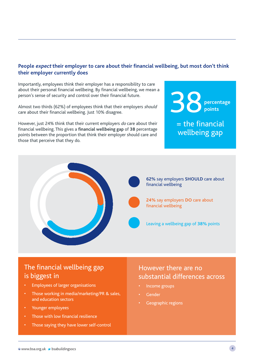#### **People expect their employer to care about their financial wellbeing, but most don't think their employer currently does**

Importantly, employees think their employer has a responsibility to care about their personal financial wellbeing. By financial wellbeing, we mean a person's sense of security and control over their financial future.

Almost two thirds (62%) of employees think that their employers should care about their financial wellbeing. Just 10% disagree.

However, just 24% think that their current employers do care about their financial wellbeing. This gives a **financial wellbeing gap** of **38** percentage points between the proportion that think their employer should care and those that perceive that they do.

38 **percentage points**

 $=$  the financial wellbeing gap



### The financial wellbeing gap is biggest in

- Employees of larger organisations
- Those working in media/marketing/PR & sales, and education sectors
- Younger employees
- Those with low financial resilience
- Those saying they have lower self-control

### However there are no substantial differences across

- Income groups
- **Gender**
- Geographic regions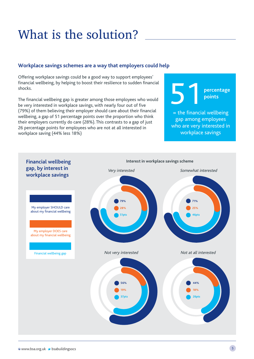# What is the solution?

#### **Workplace savings schemes are a way that employers could help**

Offering workplace savings could be a good way to support employees' financial wellbeing, by helping to boost their resilience to sudden financial shocks.

The financial wellbeing gap is greater among those employees who would be very interested in workplace savings, with nearly four out of five (79%) of them believing their employer should care about their financial wellbeing, a gap of 51 percentage points over the proportion who think their employers currently do care (28%). This contrasts to a gap of just 26 percentage points for employees who are not at all interested in workplace saving (44% less 18%)

51

**percentage points**

 $=$  the financial wellbeing gap among employees who are very interested in workplace savings

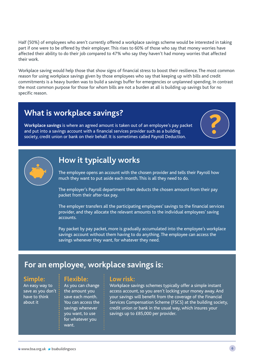Half (50%) of employees who aren't currently offered a workplace savings scheme would be interested in taking part if one were to be offered by their employer. This rises to 60% of those who say that money worries have affected their ability to do their job compared to 47% who say they haven't had money worries that affected their work.

Workplace saving would help those that show signs of financial stress to boost their resilience. The most common reason for using workplace savings given by those employees who say that keeping up with bills and credit commitments is a heavy burden was to build a savings buffer for emergencies or unplanned spending. In contrast the most common purpose for those for whom bills are not a burden at all is building up savings but for no specific reason.

## **What is workplace savings?**

**Workplace savings** is where an agreed amount is taken out of an employee's pay packet and put into a savings account with a financial services provider such as a building society, credit union or bank on their behalf. It is sometimes called Payroll Deduction.





### **How it typically works**

The employee opens an account with the chosen provider and tells their Payroll how much they want to put aside each month. This is all they need to do.

The employer's Payroll department then deducts the chosen amount from their pay packet from their after-tax pay.

The employer transfers all the participating employees' savings to the financial services provider, and they allocate the relevant amounts to the individual employees' saving accounts.

Pay packet by pay packet, more is gradually accumulated into the employee's workplace savings account without them having to do anything. The employee can access the savings whenever they want, for whatever they need.

### **For an employee, workplace savings is:**

#### **Simple:**

An easy way to save as you don't have to think about it

#### **Flexible:**

As you can change the amount you save each month. You can access the savings whenever you want, to use for whatever you want.

#### **Low risk:**

Workplace savings schemes typically offer a simple instant access account, so you aren't locking your money away. And your savings will benefit from the coverage of the Financial Services Compensation Scheme (FSCS) at the building society, credit union or bank in the usual way, which insures your savings up to £85,000 per provider.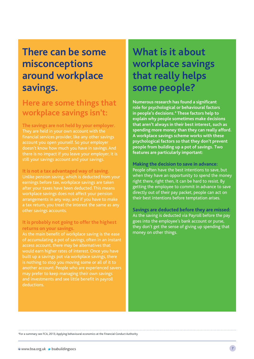## **There can be some misconceptions around workplace savings.**

## **Here are some things that workplace savings isn't:**

**The savings are not held by your employer.**  financial services provider, like any other savings account you open yourself. So your employer doesn't know how much you have in savings. And there is no impact if you leave your employer, it is still your savings account and your savings.

**It is not a tax advantaged way of saving.**

Unlike pension saving, which is deducted from your earnings before tax, workplace savings are taken workplace savings does not affect your pension arrangements in any way, and if you have to make other savings accounts.

#### **It is probably not going to offer the highest returns on your savings.**

As the main benefit of workplace saving is the ease of accumulating a pot of savings, often in an instant access account, there may be alternatives that would earn higher rates of interest. Once you have built up a savings pot via workplace savings, there is nothing to stop you moving some or all of it to another account. People who are experienced savers may prefer to keep managing their own savings and investments and see little benefit in payroll deductions.

## **What is it about workplace savings that really helps some people?**

**Numerous research has found a significant role for psychological or behavioural factors in people's decisions.4 These factors help to explain why people sometimes make decisions that aren't always in their best interest, such as spending more money than they can really afford. A workplace savings scheme works with these psychological factors so that they don't prevent people from building up a pot of savings. Two features are particularly important:**

**Making the decision to save in advance:** People often have the best intentions to save, but when they have an opportunity to spend the money right there, right then, it can be hard to resist. By getting the employee to commit in advance to save directly out of their pay packet, people can act on their best intentions before temptation arises.

**Savings are deducted before they are missed:**  As the saving is deducted via Payroll before the pay goes into the employee's bank account or purse, they don't get the sense of giving up spending that money on other things.

4 For a summary see FCA, 2013, Applying behavioural economics at the Financial Conduct Authority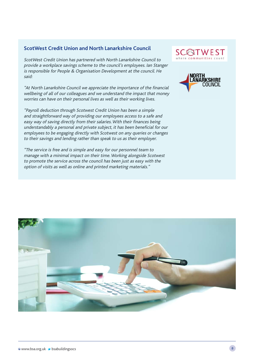#### **ScotWest Credit Union and North Lanarkshire Council**

ScotWest Credit Union has partnered with North Lanarkshire Council to provide a workplace savings scheme to the council's employees. Ian Stanger is responsible for People & Organisation Development at the council. He said:

"At North Lanarkshire Council we appreciate the importance of the financial wellbeing of all of our colleagues and we understand the impact that money worries can have on their personal lives as well as their working lives.

"Payroll deduction through Scotwest Credit Union has been a simple and straightforward way of providing our employees access to a safe and easy way of saving directly from their salaries. With their finances being understandably a personal and private subject, it has been beneficial for our employees to be engaging directly with Scotwest on any queries or changes to their savings and lending rather than speak to us as their employer.

"The service is free and is simple and easy for our personnel team to manage with a minimal impact on their time. Working alongside Scotwest to promote the service across the council has been just as easy with the option of visits as well as online and printed marketing materials."





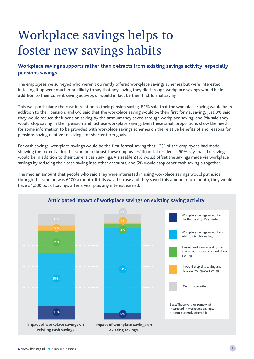# Workplace savings helps to foster new savings habits

#### **Workplace savings supports rather than detracts from existing savings activity, especially pensions savings**

The employees we surveyed who weren't currently offered workplace savings schemes but were interested in taking it up were much more likely to say that any saving they did through workplace savings would be **in addition** to their current saving activity, or would in fact be their first formal saving.

This was particularly the case in relation to their pension saving. 81% said that the workplace saving would be in addition to their pension, and 6% said that the workplace saving would be their first formal saving. Just 3% said they would reduce their pension saving by the amount they saved through workplace saving, and 2% said they would stop saving in their pension and just use workplace saving. Even these small proportions show the need for some information to be provided with workplace savings schemes on the relative benefits of and reasons for pensions saving relative to savings for shorter term goals.

For cash savings, workplace savings would be the first formal saving that 13% of the employees had made, showing the potential for the scheme to boost these employees' financial resilience. 50% say that the savings would be in addition to their current cash savings. A sizeable 21% would offset the savings made via workplace savings by reducing their cash saving into other accounts, and 5% would stop other cash saving altogether.

The median amount that people who said they were interested in using workplace savings would put aside through the scheme was £100 a month. If this was the case and they saved this amount each month, they would have £1,200 pot of savings after a year plus any interest earned.

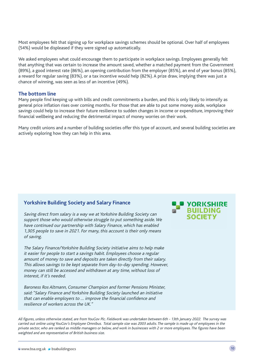Most employees felt that signing up for workplace savings schemes should be optional. Over half of employees (54%) would be displeased if they were signed up automatically.

We asked employees what could encourage them to participate in workplace savings. Employees generally felt that anything that was certain to increase the amount saved, whether a matched payment from the Government (89%), a good interest rate (86%), an opening contribution from the employer (85%), an end of year bonus (85%), a reward for regular saving (83%), or a tax incentive would help (82%). A prize draw, implying there was just a chance of winning, was seen as less of an incentive (49%).

#### **The bottom line**

Many people find keeping up with bills and credit commitments a burden, and this is only likely to intensify as general price inflation rises over coming months. For those that are able to put some money aside, workplace savings could help to increase their future resilience to sudden changes in income or expenditure, improving their financial wellbeing and reducing the detrimental impact of money worries on their work.

Many credit unions and a number of building societies offer this type of account, and several building societies are actively exploring how they can help in this area.

#### **Yorkshire Building Society and Salary Finance**

Saving direct from salary is a way we at Yorkshire Building Society can support those who would otherwise struggle to put something aside. We have continued our partnership with Salary Finance, which has enabled 1,305 people to save in 2021. For many, this account is their only means of saving.

The Salary Finance/Yorkshire Building Society initiative aims to help make it easier for people to start a savings habit. Employees choose a regular amount of money to save and deposits are taken directly from their salary. This allows savings to be kept separate from day-to-day spending. However, money can still be accessed and withdrawn at any time, without loss of interest, if it's needed.

Baroness Ros Altmann, Consumer Champion and former Pensions Minister, said: "Salary Finance and Yorkshire Building Society launched an initiative that can enable employers to … improve the financial confidence and resilience of workers across the UK."

All figures, unless otherwise stated, are from YouGov Plc. Fieldwork was undertaken between 6th - 13th January 2022. The survey was carried out online using YouGov's Employee Omnibus. Total sample size was 2003 adults. The sample is made up of employees in the private sector, who are ranked as middle managers or below, and work in businesses with 2 or more employees. The figures have been weighted and are representative of British business size.

#### **S** YORKSHIRE **BUILDING SOCIETY**